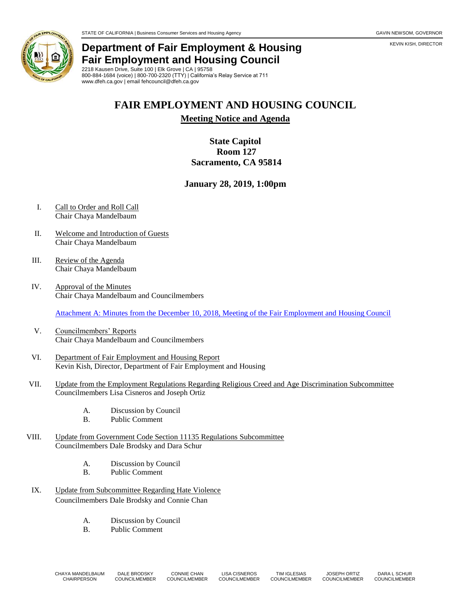## **Department of Fair Employment & Housing Fair Employment and Housing Council**

2218 Kausen Drive, Suite 100 | Elk Grove | CA | 95758 800-884-1684 (voice) | 800-700-2320 (TTY) | California's Relay Service at 711 www.dfeh.ca.gov | email fehcouncil@dfeh.ca.gov

# **FAIR EMPLOYMENT AND HOUSING COUNCIL**

**Meeting Notice and Agenda**

## **State Capitol Room 127 Sacramento, CA 95814**

### **January 28, 2019, 1:00pm**

- I. Call to Order and Roll Call Chair Chaya Mandelbaum
- II. Welcome and Introduction of Guests Chair Chaya Mandelbaum
- III. Review of the Agenda Chair Chaya Mandelbaum
- IV. Approval of the Minutes Chair Chaya Mandelbaum and Councilmembers

[Attachment A: Minutes from the December 10, 2018, Meeting of the Fair Employment and Housing Council](https://www.dfeh.ca.gov/wp-content/uploads/sites/32/2019/01/AttachA-FEHCMinutes2018Dec10.pdf)

- V. Councilmembers' Reports Chair Chaya Mandelbaum and Councilmembers
- VI. Department of Fair Employment and Housing Report Kevin Kish, Director, Department of Fair Employment and Housing
- VII. Update from the Employment Regulations Regarding Religious Creed and Age Discrimination Subcommittee Councilmembers Lisa Cisneros and Joseph Ortiz
	- A. Discussion by Council
	- B. Public Comment
- VIII. Update from Government Code Section 11135 Regulations Subcommittee Councilmembers Dale Brodsky and Dara Schur
	- A. Discussion by Council
	- B. Public Comment
- IX. Update from Subcommittee Regarding Hate Violence Councilmembers Dale Brodsky and Connie Chan
	- A. Discussion by Council
	- B. Public Comment